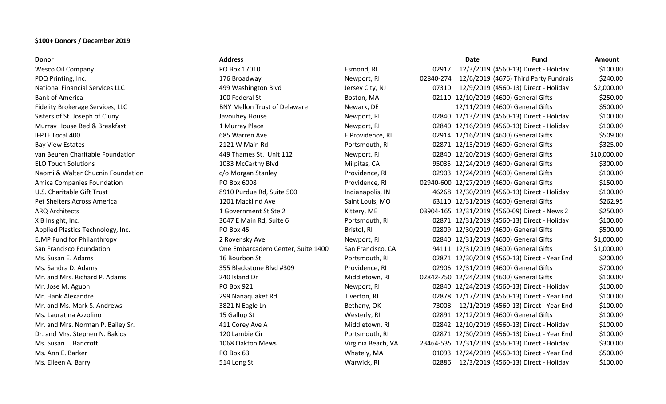## **\$100+ Donors / December 2019**

| Donor                                  | <b>Address</b>                      |                    |           | <b>Date</b> | <b>Fund</b>                                     | <b>Amount</b> |
|----------------------------------------|-------------------------------------|--------------------|-----------|-------------|-------------------------------------------------|---------------|
| Wesco Oil Company                      | PO Box 17010                        | Esmond, RI         | 02917     |             | 12/3/2019 (4560-13) Direct - Holiday            | \$100.00      |
| PDQ Printing, Inc.                     | 176 Broadway                        | Newport, RI        | 02840-274 |             | 12/6/2019 (4676) Third Party Fundrais           | \$240.00      |
| <b>National Financial Services LLC</b> | 499 Washington Blvd                 | Jersey City, NJ    | 07310     |             | 12/9/2019 (4560-13) Direct - Holiday            | \$2,000.00    |
| <b>Bank of America</b>                 | 100 Federal St                      | Boston, MA         |           |             | 02110 12/10/2019 (4600) General Gifts           | \$250.00      |
| Fidelity Brokerage Services, LLC       | <b>BNY Mellon Trust of Delaware</b> | Newark, DE         |           |             | 12/11/2019 (4600) General Gifts                 | \$500.00      |
| Sisters of St. Joseph of Cluny         | Javouhey House                      | Newport, RI        |           |             | 02840 12/13/2019 (4560-13) Direct - Holiday     | \$100.00      |
| Murray House Bed & Breakfast           | 1 Murray Place                      | Newport, RI        |           |             | 02840 12/16/2019 (4560-13) Direct - Holiday     | \$100.00      |
| <b>IFPTE Local 400</b>                 | 685 Warren Ave                      | E Providence, RI   |           |             | 02914 12/16/2019 (4600) General Gifts           | \$509.00      |
| <b>Bay View Estates</b>                | 2121 W Main Rd                      | Portsmouth, RI     |           |             | 02871 12/13/2019 (4600) General Gifts           | \$325.00      |
| van Beuren Charitable Foundation       | 449 Thames St. Unit 112             | Newport, RI        |           |             | 02840 12/20/2019 (4600) General Gifts           | \$10,000.00   |
| <b>ELO Touch Solutions</b>             | 1033 McCarthy Blvd                  | Milpitas, CA       |           |             | 95035 12/24/2019 (4600) General Gifts           | \$300.00      |
| Naomi & Walter Chucnin Foundation      | c/o Morgan Stanley                  | Providence, RI     |           |             | 02903 12/24/2019 (4600) General Gifts           | \$100.00      |
| Amica Companies Foundation             | PO Box 6008                         | Providence, RI     |           |             | 02940-600 12/27/2019 (4600) General Gifts       | \$150.00      |
| U.S. Charitable Gift Trust             | 8910 Purdue Rd, Suite 500           | Indianapolis, IN   |           |             | 46268 12/30/2019 (4560-13) Direct - Holiday     | \$100.00      |
| Pet Shelters Across America            | 1201 Macklind Ave                   | Saint Louis, MO    |           |             | 63110 12/31/2019 (4600) General Gifts           | \$262.95      |
| ARQ Architects                         | 1 Government St Ste 2               | Kittery, ME        |           |             | 03904-165 12/31/2019 (4560-09) Direct - News 2  | \$250.00      |
| X B Insight, Inc.                      | 3047 E Main Rd, Suite 6             | Portsmouth, RI     |           |             | 02871 12/31/2019 (4560-13) Direct - Holiday     | \$100.00      |
| Applied Plastics Technology, Inc.      | PO Box 45                           | Bristol, RI        |           |             | 02809 12/30/2019 (4600) General Gifts           | \$500.00      |
| <b>EJMP Fund for Philanthropy</b>      | 2 Rovensky Ave                      | Newport, RI        |           |             | 02840 12/31/2019 (4600) General Gifts           | \$1,000.00    |
| San Francisco Foundation               | One Embarcadero Center, Suite 1400  | San Francisco, CA  |           |             | 94111 12/31/2019 (4600) General Gifts           | \$1,000.00    |
| Ms. Susan E. Adams                     | 16 Bourbon St                       | Portsmouth, RI     |           |             | 02871 12/30/2019 (4560-13) Direct - Year End    | \$200.00      |
| Ms. Sandra D. Adams                    | 355 Blackstone Blvd #309            | Providence, RI     |           |             | 02906 12/31/2019 (4600) General Gifts           | \$700.00      |
| Mr. and Mrs. Richard P. Adams          | 240 Island Dr                       | Middletown, RI     |           |             | 02842-750 12/24/2019 (4600) General Gifts       | \$100.00      |
| Mr. Jose M. Aguon                      | PO Box 921                          | Newport, RI        |           |             | 02840 12/24/2019 (4560-13) Direct - Holiday     | \$100.00      |
| Mr. Hank Alexandre                     | 299 Nanaquaket Rd                   | Tiverton, RI       |           |             | 02878 12/17/2019 (4560-13) Direct - Year End    | \$100.00      |
| Mr. and Ms. Mark S. Andrews            | 3821 N Eagle Ln                     | Bethany, OK        | 73008     |             | 12/1/2019 (4560-13) Direct - Year End           | \$100.00      |
| Ms. Lauratina Azzolino                 | 15 Gallup St                        | Westerly, RI       |           |             | 02891 12/12/2019 (4600) General Gifts           | \$100.00      |
| Mr. and Mrs. Norman P. Bailey Sr.      | 411 Corey Ave A                     | Middletown, RI     |           |             | 02842 12/10/2019 (4560-13) Direct - Holiday     | \$100.00      |
| Dr. and Mrs. Stephen N. Bakios         | 120 Lambie Cir                      | Portsmouth, RI     |           |             | 02871 12/30/2019 (4560-13) Direct - Year End    | \$100.00      |
| Ms. Susan L. Bancroft                  | 1068 Oakton Mews                    | Virginia Beach, VA |           |             | 23464-535 12/31/2019 (4560-13) Direct - Holiday | \$300.00      |
| Ms. Ann E. Barker                      | PO Box 63                           | Whately, MA        |           |             | 01093 12/24/2019 (4560-13) Direct - Year End    | \$500.00      |
| Ms. Eileen A. Barry                    | 514 Long St                         | Warwick, RI        | 02886     |             | 12/3/2019 (4560-13) Direct - Holiday            | \$100.00      |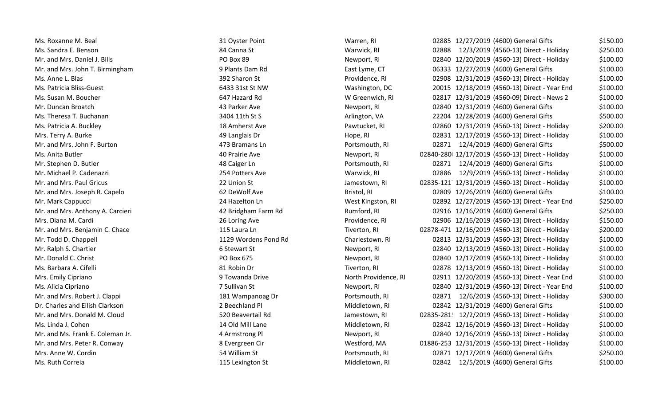| Ms. Roxanne M. Beal              | 31 Oyster Point      | Warren, RI           | 02885 12/27/2019 (4600) General Gifts           | \$150.00 |
|----------------------------------|----------------------|----------------------|-------------------------------------------------|----------|
| Ms. Sandra E. Benson             | 84 Canna St          | Warwick, RI          | 02888<br>12/3/2019 (4560-13) Direct - Holiday   | \$250.00 |
| Mr. and Mrs. Daniel J. Bills     | PO Box 89            | Newport, RI          | 02840 12/20/2019 (4560-13) Direct - Holiday     | \$100.00 |
| Mr. and Mrs. John T. Birmingham  | 9 Plants Dam Rd      | East Lyme, CT        | 06333 12/27/2019 (4600) General Gifts           | \$100.00 |
| Ms. Anne L. Blas                 | 392 Sharon St        | Providence, RI       | 02908 12/31/2019 (4560-13) Direct - Holiday     | \$100.00 |
| Ms. Patricia Bliss-Guest         | 6433 31st St NW      | Washington, DC       | 20015 12/18/2019 (4560-13) Direct - Year End    | \$100.00 |
| Ms. Susan M. Boucher             | 647 Hazard Rd        | W Greenwich, RI      | 02817 12/31/2019 (4560-09) Direct - News 2      | \$100.00 |
| Mr. Duncan Broatch               | 43 Parker Ave        | Newport, RI          | 02840 12/31/2019 (4600) General Gifts           | \$100.00 |
| Ms. Theresa T. Buchanan          | 3404 11th St S       | Arlington, VA        | 22204 12/28/2019 (4600) General Gifts           | \$500.00 |
| Ms. Patricia A. Buckley          | 18 Amherst Ave       | Pawtucket, RI        | 02860 12/31/2019 (4560-13) Direct - Holiday     | \$200.00 |
| Mrs. Terry A. Burke              | 49 Langlais Dr       | Hope, RI             | 02831 12/17/2019 (4560-13) Direct - Holiday     | \$100.00 |
| Mr. and Mrs. John F. Burton      | 473 Bramans Ln       | Portsmouth, RI       | 02871 12/4/2019 (4600) General Gifts            | \$500.00 |
| Ms. Anita Butler                 | 40 Prairie Ave       | Newport, RI          | 02840-280 12/17/2019 (4560-13) Direct - Holiday | \$100.00 |
| Mr. Stephen D. Butler            | 48 Caiger Ln         | Portsmouth, RI       | 02871<br>12/4/2019 (4600) General Gifts         | \$100.00 |
| Mr. Michael P. Cadenazzi         | 254 Potters Ave      | Warwick, RI          | 02886<br>12/9/2019 (4560-13) Direct - Holiday   | \$100.00 |
| Mr. and Mrs. Paul Gricus         | 22 Union St          | Jamestown, RI        | 02835-121 12/31/2019 (4560-13) Direct - Holiday | \$100.00 |
| Mr. and Mrs. Joseph R. Capelo    | 62 DeWolf Ave        | Bristol, RI          | 02809 12/26/2019 (4600) General Gifts           | \$100.00 |
| Mr. Mark Cappucci                | 24 Hazelton Ln       | West Kingston, RI    | 02892 12/27/2019 (4560-13) Direct - Year End    | \$250.00 |
| Mr. and Mrs. Anthony A. Carcieri | 42 Bridgham Farm Rd  | Rumford, RI          | 02916 12/16/2019 (4600) General Gifts           | \$250.00 |
| Mrs. Diana M. Cardi              | 26 Loring Ave        | Providence, RI       | 02906 12/16/2019 (4560-13) Direct - Holiday     | \$150.00 |
| Mr. and Mrs. Benjamin C. Chace   | 115 Laura Ln         | Tiverton, RI         | 02878-471 12/16/2019 (4560-13) Direct - Holiday | \$200.00 |
| Mr. Todd D. Chappell             | 1129 Wordens Pond Rd | Charlestown, RI      | 02813 12/31/2019 (4560-13) Direct - Holiday     | \$100.00 |
| Mr. Ralph S. Chartier            | 6 Stewart St         | Newport, RI          | 02840 12/13/2019 (4560-13) Direct - Holiday     | \$100.00 |
| Mr. Donald C. Christ             | PO Box 675           | Newport, RI          | 02840 12/17/2019 (4560-13) Direct - Holiday     | \$100.00 |
| Ms. Barbara A. Cifelli           | 81 Robin Dr          | Tiverton, RI         | 02878 12/13/2019 (4560-13) Direct - Holiday     | \$100.00 |
| Mrs. Emily Cipriano              | 9 Towanda Drive      | North Providence, RI | 02911 12/20/2019 (4560-13) Direct - Year End    | \$100.00 |
| Ms. Alicia Cipriano              | 7 Sullivan St        | Newport, RI          | 02840 12/31/2019 (4560-13) Direct - Year End    | \$100.00 |
| Mr. and Mrs. Robert J. Clappi    | 181 Wampanoag Dr     | Portsmouth, RI       | 02871 12/6/2019 (4560-13) Direct - Holiday      | \$300.00 |
| Dr. Charles and Eilish Clarkson  | 2 Beechland Pl       | Middletown, RI       | 02842 12/31/2019 (4600) General Gifts           | \$100.00 |
| Mr. and Mrs. Donald M. Cloud     | 520 Beavertail Rd    | Jamestown, RI        | 02835-281 12/2/2019 (4560-13) Direct - Holiday  | \$100.00 |
| Ms. Linda J. Cohen               | 14 Old Mill Lane     | Middletown, RI       | 02842 12/16/2019 (4560-13) Direct - Holiday     | \$100.00 |
| Mr. and Ms. Frank E. Coleman Jr. | 4 Armstrong Pl       | Newport, RI          | 02840 12/16/2019 (4560-13) Direct - Holiday     | \$100.00 |
| Mr. and Mrs. Peter R. Conway     | 8 Evergreen Cir      | Westford, MA         | 01886-253 12/31/2019 (4560-13) Direct - Holiday | \$100.00 |
| Mrs. Anne W. Cordin              | 54 William St        | Portsmouth, RI       | 02871 12/17/2019 (4600) General Gifts           | \$250.00 |
| Ms. Ruth Correia                 | 115 Lexington St     | Middletown, RI       | 12/5/2019 (4600) General Gifts<br>02842         | \$100.00 |
|                                  |                      |                      |                                                 |          |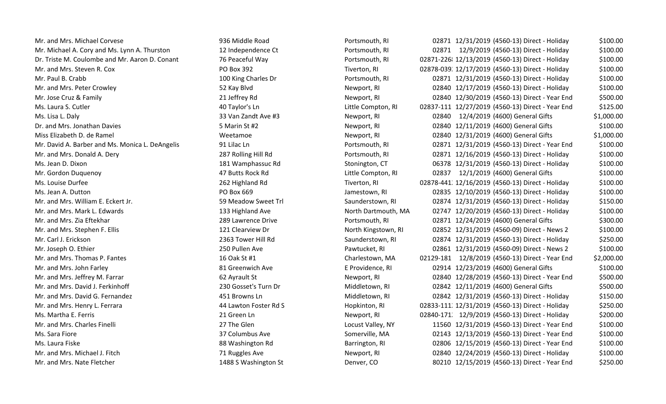| Mr. and Mrs. Michael Corvese                    | 936 Middle Road       | Portsmouth, RI      | 02871 12/31/2019 (4560-13) Direct - Holiday      | \$100.00   |
|-------------------------------------------------|-----------------------|---------------------|--------------------------------------------------|------------|
| Mr. Michael A. Cory and Ms. Lynn A. Thurston    | 12 Independence Ct    | Portsmouth, RI      | 02871 12/9/2019 (4560-13) Direct - Holiday       | \$100.00   |
| Dr. Triste M. Coulombe and Mr. Aaron D. Conant  | 76 Peaceful Way       | Portsmouth, RI      | 02871-226 12/13/2019 (4560-13) Direct - Holiday  | \$100.00   |
| Mr. and Mrs. Steven R. Cox                      | PO Box 392            | Tiverton, RI        | 02878-039 12/17/2019 (4560-13) Direct - Holiday  | \$100.00   |
| Mr. Paul B. Crabb                               | 100 King Charles Dr   | Portsmouth, RI      | 02871 12/31/2019 (4560-13) Direct - Holiday      | \$100.00   |
| Mr. and Mrs. Peter Crowley                      | 52 Kay Blvd           | Newport, RI         | 02840 12/17/2019 (4560-13) Direct - Holiday      | \$100.00   |
| Mr. Jose Cruz & Family                          | 21 Jeffrey Rd         | Newport, RI         | 02840 12/30/2019 (4560-13) Direct - Year End     | \$500.00   |
| Ms. Laura S. Cutler                             | 40 Taylor's Ln        | Little Compton, RI  | 02837-111 12/27/2019 (4560-13) Direct - Year End | \$125.00   |
| Ms. Lisa L. Daly                                | 33 Van Zandt Ave #3   | Newport, RI         | 02840 12/4/2019 (4600) General Gifts             | \$1,000.00 |
| Dr. and Mrs. Jonathan Davies                    | 5 Marin St #2         | Newport, RI         | 02840 12/11/2019 (4600) General Gifts            | \$100.00   |
| Miss Elizabeth D. de Ramel                      | Weetamoe              | Newport, RI         | 02840 12/31/2019 (4600) General Gifts            | \$1,000.00 |
| Mr. David A. Barber and Ms. Monica L. DeAngelis | 91 Lilac Ln           | Portsmouth, RI      | 02871 12/31/2019 (4560-13) Direct - Year End     | \$100.00   |
| Mr. and Mrs. Donald A. Dery                     | 287 Rolling Hill Rd   | Portsmouth, RI      | 02871 12/16/2019 (4560-13) Direct - Holiday      | \$100.00   |
| Ms. Jean D. Dixon                               | 181 Wamphassuc Rd     | Stonington, CT      | 06378 12/31/2019 (4560-13) Direct - Holiday      | \$100.00   |
| Mr. Gordon Duquenoy                             | 47 Butts Rock Rd      | Little Compton, RI  | 02837 12/1/2019 (4600) General Gifts             | \$100.00   |
| Ms. Louise Durfee                               | 262 Highland Rd       | Tiverton, RI        | 02878-441 12/16/2019 (4560-13) Direct - Holiday  | \$100.00   |
| Ms. Jean A. Dutton                              | PO Box 669            | Jamestown, RI       | 02835 12/10/2019 (4560-13) Direct - Holiday      | \$100.00   |
| Mr. and Mrs. William E. Eckert Jr.              | 59 Meadow Sweet Trl   | Saunderstown, RI    | 02874 12/31/2019 (4560-13) Direct - Holiday      | \$150.00   |
| Mr. and Mrs. Mark L. Edwards                    | 133 Highland Ave      | North Dartmouth, MA | 02747 12/20/2019 (4560-13) Direct - Holiday      | \$100.00   |
| Mr. and Mrs. Zia Eftekhar                       | 289 Lawrence Drive    | Portsmouth, RI      | 02871 12/24/2019 (4600) General Gifts            | \$300.00   |
| Mr. and Mrs. Stephen F. Ellis                   | 121 Clearview Dr      | North Kingstown, RI | 02852 12/31/2019 (4560-09) Direct - News 2       | \$100.00   |
| Mr. Carl J. Erickson                            | 2363 Tower Hill Rd    | Saunderstown, RI    | 02874 12/31/2019 (4560-13) Direct - Holiday      | \$250.00   |
| Mr. Joseph O. Ethier                            | 250 Pullen Ave        | Pawtucket, RI       | 02861 12/31/2019 (4560-09) Direct - News 2       | \$100.00   |
| Mr. and Mrs. Thomas P. Fantes                   | 16 Oak St #1          | Charlestown, MA     | 02129-181 12/8/2019 (4560-13) Direct - Year End  | \$2,000.00 |
| Mr. and Mrs. John Farley                        | 81 Greenwich Ave      | E Providence, RI    | 02914 12/23/2019 (4600) General Gifts            | \$100.00   |
| Mr. and Mrs. Jeffrey M. Farrar                  | 62 Ayrault St         | Newport, RI         | 02840 12/28/2019 (4560-13) Direct - Year End     | \$500.00   |
| Mr. and Mrs. David J. Ferkinhoff                | 230 Gosset's Turn Dr  | Middletown, RI      | 02842 12/11/2019 (4600) General Gifts            | \$500.00   |
| Mr. and Mrs. David G. Fernandez                 | 451 Browns Ln         | Middletown, RI      | 02842 12/31/2019 (4560-13) Direct - Holiday      | \$150.00   |
| Mr. and Mrs. Henry L. Ferrara                   | 44 Lawton Foster Rd S | Hopkinton, RI       | 02833-111 12/31/2019 (4560-13) Direct - Holiday  | \$250.00   |
| Ms. Martha E. Ferris                            | 21 Green Ln           | Newport, RI         | 02840-171 12/9/2019 (4560-13) Direct - Holiday   | \$200.00   |
| Mr. and Mrs. Charles Finelli                    | 27 The Glen           | Locust Valley, NY   | 11560 12/31/2019 (4560-13) Direct - Year End     | \$100.00   |
| Ms. Sara Fiore                                  | 37 Columbus Ave       | Somerville, MA      | 02143 12/13/2019 (4560-13) Direct - Year End     | \$100.00   |
| Ms. Laura Fiske                                 | 88 Washington Rd      | Barrington, RI      | 02806 12/15/2019 (4560-13) Direct - Year End     | \$100.00   |
| Mr. and Mrs. Michael J. Fitch                   | 71 Ruggles Ave        | Newport, RI         | 02840 12/24/2019 (4560-13) Direct - Holiday      | \$100.00   |
| Mr. and Mrs. Nate Fletcher                      | 1488 S Washington St  | Denver, CO          | 80210 12/15/2019 (4560-13) Direct - Year End     | \$250.00   |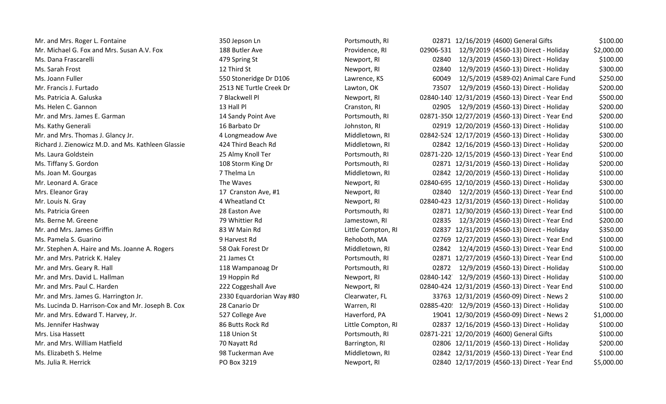| Mr. and Mrs. Roger L. Fontaine                     | 350 Jepson Ln            | Portsmouth, RI     | 02871 12/16/2019 (4600) General Gifts            | \$100.00   |
|----------------------------------------------------|--------------------------|--------------------|--------------------------------------------------|------------|
| Mr. Michael G. Fox and Mrs. Susan A.V. Fox         | 188 Butler Ave           | Providence, RI     | 02906-531 12/9/2019 (4560-13) Direct - Holiday   | \$2,000.00 |
| Ms. Dana Frascarelli                               | 479 Spring St            | Newport, RI        | 12/3/2019 (4560-13) Direct - Holiday<br>02840    | \$100.00   |
| Ms. Sarah Frost                                    | 12 Third St              | Newport, RI        | 02840<br>12/9/2019 (4560-13) Direct - Holiday    | \$300.00   |
| Ms. Joann Fuller                                   | 550 Stoneridge Dr D106   | Lawrence, KS       | 60049<br>12/5/2019 (4589-02) Animal Care Fund    | \$250.00   |
| Mr. Francis J. Furtado                             | 2513 NE Turtle Creek Dr  | Lawton, OK         | 73507<br>12/9/2019 (4560-13) Direct - Holiday    | \$200.00   |
| Ms. Patricia A. Galuska                            | 7 Blackwell Pl           | Newport, RI        | 02840-140 12/31/2019 (4560-13) Direct - Year End | \$500.00   |
| Ms. Helen C. Gannon                                | 13 Hall Pl               | Cranston, RI       | 12/9/2019 (4560-13) Direct - Holiday<br>02905    | \$200.00   |
| Mr. and Mrs. James E. Garman                       | 14 Sandy Point Ave       | Portsmouth, RI     | 02871-350 12/27/2019 (4560-13) Direct - Year End | \$200.00   |
| Ms. Kathy Generali                                 | 16 Barbato Dr            | Johnston, RI       | 02919 12/20/2019 (4560-13) Direct - Holiday      | \$100.00   |
| Mr. and Mrs. Thomas J. Glancy Jr.                  | 4 Longmeadow Ave         | Middletown, RI     | 02842-524 12/17/2019 (4560-13) Direct - Holiday  | \$300.00   |
| Richard J. Zienowicz M.D. and Ms. Kathleen Glassie | 424 Third Beach Rd       | Middletown, RI     | 02842 12/16/2019 (4560-13) Direct - Holiday      | \$200.00   |
| Ms. Laura Goldstein                                | 25 Almy Knoll Ter        | Portsmouth, RI     | 02871-220 12/15/2019 (4560-13) Direct - Year End | \$100.00   |
| Ms. Tiffany S. Gordon                              | 108 Storm King Dr        | Portsmouth, RI     | 02871 12/31/2019 (4560-13) Direct - Holiday      | \$200.00   |
| Ms. Joan M. Gourgas                                | 7 Thelma Ln              | Middletown, RI     | 02842 12/20/2019 (4560-13) Direct - Holiday      | \$100.00   |
| Mr. Leonard A. Grace                               | The Waves                | Newport, RI        | 02840-695 12/10/2019 (4560-13) Direct - Holiday  | \$300.00   |
| Mrs. Eleanor Gray                                  | 17 Cranston Ave, #1      | Newport, RI        | 12/2/2019 (4560-13) Direct - Year End<br>02840   | \$100.00   |
| Mr. Louis N. Gray                                  | 4 Wheatland Ct           | Newport, RI        | 02840-423 12/31/2019 (4560-13) Direct - Holiday  | \$100.00   |
| Ms. Patricia Green                                 | 28 Easton Ave            | Portsmouth, RI     | 02871 12/30/2019 (4560-13) Direct - Year End     | \$100.00   |
| Ms. Berne M. Greene                                | 79 Whittier Rd           | Jamestown, RI      | 02835 12/3/2019 (4560-13) Direct - Year End      | \$200.00   |
| Mr. and Mrs. James Griffin                         | 83 W Main Rd             | Little Compton, RI | 02837 12/31/2019 (4560-13) Direct - Holiday      | \$350.00   |
| Ms. Pamela S. Guarino                              | 9 Harvest Rd             | Rehoboth, MA       | 02769 12/27/2019 (4560-13) Direct - Year End     | \$100.00   |
| Mr. Stephen A. Haire and Ms. Joanne A. Rogers      | 58 Oak Forest Dr         | Middletown, RI     | 02842<br>12/4/2019 (4560-13) Direct - Year End   | \$100.00   |
| Mr. and Mrs. Patrick K. Haley                      | 21 James Ct              | Portsmouth, RI     | 02871 12/27/2019 (4560-13) Direct - Year End     | \$100.00   |
| Mr. and Mrs. Geary R. Hall                         | 118 Wampanoag Dr         | Portsmouth, RI     | 02872 12/9/2019 (4560-13) Direct - Holiday       | \$100.00   |
| Mr. and Mrs. David L. Hallman                      | 19 Hoppin Rd             | Newport, RI        | 02840-142 12/9/2019 (4560-13) Direct - Holiday   | \$100.00   |
| Mr. and Mrs. Paul C. Harden                        | 222 Coggeshall Ave       | Newport, RI        | 02840-424 12/31/2019 (4560-13) Direct - Year End | \$100.00   |
| Mr. and Mrs. James G. Harrington Jr.               | 2330 Equardorian Way #80 | Clearwater, FL     | 33763 12/31/2019 (4560-09) Direct - News 2       | \$100.00   |
| Ms. Lucinda D. Harrison-Cox and Mr. Joseph B. Cox  | 28 Canario Dr            | Warren, RI         | 02885-420 12/9/2019 (4560-13) Direct - Holiday   | \$100.00   |
| Mr. and Mrs. Edward T. Harvey, Jr.                 | 527 College Ave          | Haverford, PA      | 19041 12/30/2019 (4560-09) Direct - News 2       | \$1,000.00 |
| Ms. Jennifer Hashway                               | 86 Butts Rock Rd         | Little Compton, RI | 02837 12/16/2019 (4560-13) Direct - Holiday      | \$100.00   |
| Mrs. Lisa Hassett                                  | 118 Union St             | Portsmouth, RI     | 02871-221 12/20/2019 (4600) General Gifts        | \$100.00   |
| Mr. and Mrs. William Hatfield                      | 70 Nayatt Rd             | Barrington, RI     | 02806 12/11/2019 (4560-13) Direct - Holiday      | \$200.00   |
| Ms. Elizabeth S. Helme                             | 98 Tuckerman Ave         | Middletown, RI     | 02842 12/31/2019 (4560-13) Direct - Year End     | \$100.00   |
| Ms. Julia R. Herrick                               | PO Box 3219              | Newport, RI        | 02840 12/17/2019 (4560-13) Direct - Year End     | \$5,000.00 |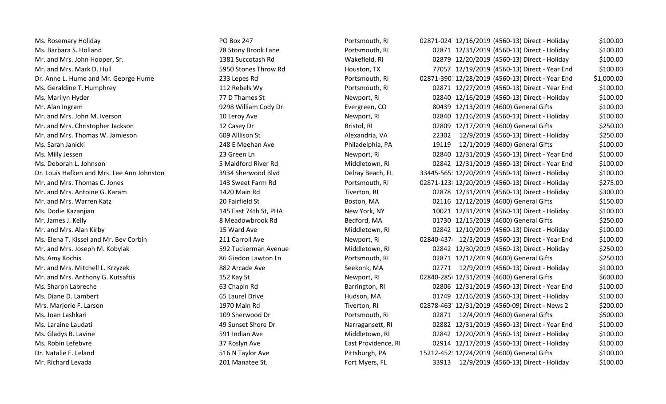| Ms. Rosemary Holiday                       | PO Box 247            | Portsmouth, RI      | \$100.00<br>02871-024 12/16/2019 (4560-13) Direct - Holiday    |
|--------------------------------------------|-----------------------|---------------------|----------------------------------------------------------------|
| Ms. Barbara S. Holland                     | 78 Stony Brook Lane   | Portsmouth, RI      | \$100.00<br>02871 12/31/2019 (4560-13) Direct - Holiday        |
| Mr. and Mrs. John Hooper, Sr.              | 1381 Succotash Rd     | Wakefield, RI       | 02879 12/20/2019 (4560-13) Direct - Holiday<br>\$100.00        |
| Mr. and Mrs. Mark D. Hull                  | 5950 Stones Throw Rd  | Houston, TX         | 77057 12/19/2019 (4560-13) Direct - Year End<br>\$100.00       |
| Dr. Anne L. Hume and Mr. George Hume       | 233 Lepes Rd          | Portsmouth, RI      | 02871-390 12/28/2019 (4560-13) Direct - Year End<br>\$1,000.00 |
| Ms. Geraldine T. Humphrey                  | 112 Rebels Wy         | Portsmouth, RI      | \$100.00<br>02871 12/27/2019 (4560-13) Direct - Year End       |
| Ms. Marilyn Hyder                          | 77 D Thames St        | Newport, RI         | \$100.00<br>02840 12/16/2019 (4560-13) Direct - Holiday        |
| Mr. Alan Ingram                            | 9298 William Cody Dr  | Evergreen, CO       | 80439 12/13/2019 (4600) General Gifts<br>\$100.00              |
| Mr. and Mrs. John M. Iverson               | 10 Leroy Ave          | Newport, RI         | 02840 12/16/2019 (4560-13) Direct - Holiday<br>\$100.00        |
| Mr. and Mrs. Christopher Jackson           | 12 Casey Dr           | Bristol, RI         | \$250.00<br>02809 12/17/2019 (4600) General Gifts              |
| Mr. and Mrs. Thomas W. Jamieson            | 609 Alllison St       | Alexandria, VA      | \$250.00<br>22302<br>12/9/2019 (4560-13) Direct - Holiday      |
| Ms. Sarah Janicki                          | 248 E Meehan Ave      | Philadelphia, PA    | \$100.00<br>19119<br>12/1/2019 (4600) General Gifts            |
| Ms. Milly Jessen                           | 23 Green Ln           | Newport, RI         | 02840 12/31/2019 (4560-13) Direct - Year End<br>\$100.00       |
| Ms. Deborah L. Johnson                     | 5 Maidford River Rd   | Middletown, RI      | \$100.00<br>02842 12/31/2019 (4560-13) Direct - Year End       |
| Dr. Louis Hafken and Mrs. Lee Ann Johnston | 3934 Sherwood Blvd    | Delray Beach, FL    | 33445-565 12/20/2019 (4560-13) Direct - Holiday<br>\$100.00    |
| Mr. and Mrs. Thomas C. Jones               | 143 Sweet Farm Rd     | Portsmouth, RI      | 02871-123 12/20/2019 (4560-13) Direct - Holiday<br>\$275.00    |
| Mr. and Mrs. Antoine G. Karam              | 1420 Main Rd          | Tiverton, RI        | \$300.00<br>02878 12/31/2019 (4560-13) Direct - Holiday        |
| Mr. and Mrs. Warren Katz                   | 20 Fairfield St       | Boston, MA          | 02116 12/12/2019 (4600) General Gifts<br>\$150.00              |
| Ms. Dodie Kazanjian                        | 145 East 74th St, PHA | New York, NY        | \$100.00<br>10021 12/31/2019 (4560-13) Direct - Holiday        |
| Mr. James J. Kelly                         | 8 Meadowbrook Rd      | Bedford, MA         | \$250.00<br>01730 12/15/2019 (4600) General Gifts              |
| Mr. and Mrs. Alan Kirby                    | 15 Ward Ave           | Middletown, RI      | \$100.00<br>02842 12/10/2019 (4560-13) Direct - Holiday        |
| Ms. Elena T. Kissel and Mr. Bev Corbin     | 211 Carroll Ave       | Newport, RI         | \$100.00<br>02840-437 12/3/2019 (4560-13) Direct - Year End    |
| Mr. and Mrs. Joseph M. Kobylak             | 592 Tuckerman Avenue  | Middletown, RI      | \$250.00<br>02842 12/30/2019 (4560-13) Direct - Holiday        |
| Ms. Amy Kochis                             | 86 Giedon Lawton Ln   | Portsmouth, RI      | \$250.00<br>02871 12/12/2019 (4600) General Gifts              |
| Mr. and Mrs. Mitchell L. Krzyzek           | 882 Arcade Ave        | Seekonk, MA         | 02771 12/9/2019 (4560-13) Direct - Holiday<br>\$100.00         |
| Mr. and Mrs. Anthony G. Kutsaftis          | 152 Kay St            | Newport, RI         | 02840-285 12/31/2019 (4600) General Gifts<br>\$600.00          |
| Ms. Sharon Labreche                        | 63 Chapin Rd          | Barrington, RI      | 02806 12/31/2019 (4560-13) Direct - Year End<br>\$100.00       |
| Ms. Diane D. Lambert                       | 65 Laurel Drive       | Hudson, MA          | \$100.00<br>01749 12/16/2019 (4560-13) Direct - Holiday        |
| Mrs. Marjorie F. Larson                    | 1970 Main Rd          | Tiverton, RI        | 02878-463 12/31/2019 (4560-09) Direct - News 2<br>\$200.00     |
| Ms. Joan Lashkari                          | 109 Sherwood Dr       | Portsmouth, RI      | 12/4/2019 (4600) General Gifts<br>\$500.00<br>02871            |
| Ms. Laraine Laudati                        | 49 Sunset Shore Dr    | Narragansett, RI    | 02882 12/31/2019 (4560-13) Direct - Year End<br>\$100.00       |
| Ms. Gladys B. Lavine                       | 591 Indian Ave        | Middletown, RI      | \$100.00<br>02842 12/20/2019 (4560-13) Direct - Holiday        |
| Ms. Robin Lefebvre                         | 37 Roslyn Ave         | East Providence, RI | 02914 12/17/2019 (4560-13) Direct - Holiday<br>\$100.00        |
| Dr. Natalie E. Leland                      | 516 N Taylor Ave      | Pittsburgh, PA      | 15212-452 12/24/2019 (4600) General Gifts<br>\$100.00          |
| Mr. Richard Levada                         | 201 Manatee St.       | Fort Myers, FL      | 33913 12/9/2019 (4560-13) Direct - Holiday<br>\$100.00         |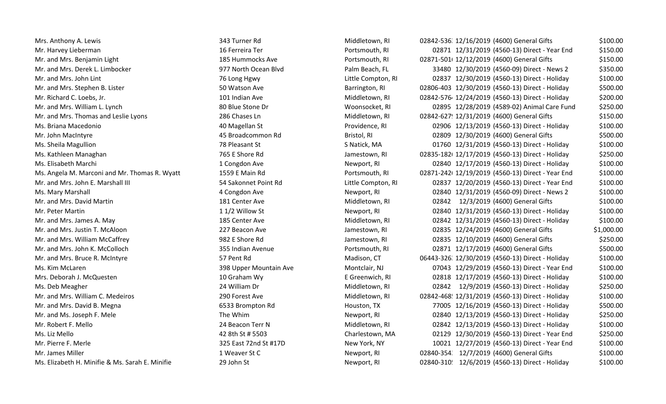Mr. and Mrs. Benjamin Light 185 Hummocks Ave Portsmouth, RI 02871. Mr. Richard C. Loebs, Jr. 102 Lost 101 Indian Ave Middletown, RI 02842. 1028 Fig. 2. 1028 Mr. and Mrs. Thomas and Leslie Lyons 286 Chases Ln Middletown, RI 0284 Chases Ln Middletown, RI Ms. Kathleen Managhan 1986 E Shore Rd Jamestown, RI 02836. Kathleen Managhan 1988. Interventional American Communisty Communisty Communisty Communisty Communisty Communisty Communisty Communisty Communisty Communisty Commu Ms. Angela M. Marconi and Mr. Thomas R. Wyatt 1559 E Main Rd Portsmouth, RI 02871.

Mrs. Anthony A. Lewis **100.00** 343 Turner Rd Middletown, RI 02842-536 12/16/2019 (4600) General Gifts \$100.00 Mr. Harvey Lieberman 16 Ferreira Ter 16 Ferreira Ter Portsmouth, RI 02871 12/31/2019 (4560-13) Direct - Year End \$150.00 02871-501 12/12/2019 (4600) General Gifts \$150.00 Mr. and Mrs. Derek L. Limbocker 1977 North Ocean Blvd Palm Beach, FL 33480 12/30/2019 (4560-09) Direct - News 2 \$350.00 Mr. and Mrs. John Lint 76 Long Hgwy Little Compton, RI 02837 12/30/2019 (4560‐13) Direct ‐ Holiday \$100.00 Mr. and Mrs. Stephen B. Lister 1992 Sommer Are Superington, Ri 02806-403 12/30/2019 (4560-13) Direct - Holiday \$500.00 02842-576 12/24/2019 (4560-13) Direct - Holiday \$200.00 Mr. and Mrs. William L. Lynch 80 Blue Stone Dr Woonsocket, RI 02895 12/28/2019 (4589-02) Animal Care Fund \$250.00 02842-627 12/31/2019 (4600) General Gifts \$150.00 Ms. Briana Macedonio 1990 100 100 100000 400 Magellan St 100.00 Providence, RI 02906 12/13/2019 (4560-13) Direct - Holiday \$100.00 Mr. John MacIntyre 45 Broadcommon Rd Bristol, RI 02809 12/30/2019 (4600) General Gifts \$500.00 Ms. Sheila Magullion Channel Channel Cheap and St Steven Steven Steven Steven Steven Steven Steven Steven Steven Steven Steven Steven Steven Steven Steven Steven Steven Steven Steven Steven Steven Steven Steven Steven Stev 02835-182 12/17/2019 (4560-13) Direct - Holiday \$250.00 Ms. Elisabeth Marchi **1 Congdon Ave 1 Congdon Ave Newport, RI** 02840 12/17/2019 (4560-13) Direct - Holiday \$100.00 02871-242 12/19/2019 (4560-13) Direct - Year End \$100.00 Mr. and Mrs. John E. Marshall III **1990 12 SASARI ENGLE 102837 12/20/2019** (4560-13) Direct - Year End \$100.00 Ms. Mary Marshall Newport, RI 02840 12/31/2019 (4560-09) Direct - News 2 \$100.00 Mr. and Mrs. David Martin 181 Center Ave 181 Center Ave Middletown, RI 02842 12/3/2019 (4600) General Gifts \$100.00 Mr. Peter Martin 1 1/2 Willow St 1/2 Willow St Newport, RI 02840 12/31/2019 (4560-13) Direct - Holiday \$100.00 Mr. and Mrs. James A. May 189 189 189 185 Center Ave Middletown, RI 02842 12/31/2019 (4560-13) Direct - Holiday \$100.00 Mr. and Mrs. Justin T. McAloon 2001 227 Beacon Ave Jamestown, RI 02835 12/24/2019 (4600) General Gifts 51,000.00 Mr. and Mrs. William McCaffrey 250.00 Mr. and Mrs. John K. McColloch 3500.00 355 Indian Avenue Portsmouth, RI 02871 12/17/2019 (4600) General Gifts \$500.00 Mr. and Mrs. Bruce R. McIntyre 6. Monometry of the Madison, CT 66443-326 12/30/2019 (4560-13) Direct - Holiday \$100.00 Ms. Kim McLaren 2008 Upper Mountain Ave Montclair, NJ 07043 12/29/2019 (4560-13) Direct - Year End \$100.00 Mrs. Deborah J. McQuesten 10 Craham Wy Careenwich, RI 02818 12/17/2019 (4560-13) Direct - Holiday \$100.00 Ms. Deb Meagher 24 William Dr 24 William Dr Middletown, RI 02842 12/9/2019 (4560-13) Direct - Holiday \$250.00 Mr. and Mrs. William C. Medeiros 200 Forest Ave 200 Forest Ave Middletown, RI 02842-468 12/31/2019 (4560-13) Direct - Holiday \$100.00 Mr. and Mrs. David B. Megna **6533** Brompton Rd Houston, TX 77005 12/16/2019 (4560-13) Direct - Holiday \$500.00 Mr. and Ms. Joseph F. Mele The Whim The Whim Newport, RI 02840 12/13/2019 (4560-13) Direct ‐ Holiday \$250.00 Mr. Robert F. Mello **24 Beacon Terr N** Middletown, RI 02842 12/13/2019 (4560-13) Direct - Holiday 5100.00 Ms. Liz Mello 42 8th St # 5503 Charlestown, MA 02129 12/30/2019 (4560‐13) Direct ‐ Year End \$250.00 Mr. Pierre F. Merle 325 East 72nd St #17D New York, NY 10021 12/27/2019 (4560-13) Direct - Year End \$100.00 Mr. James Miller 1 Weaver St C 2840‐3543 12/7/2019 (4600) General Gifts \$100.00 Ms. Elizabeth H. Minifie & Ms. Sarah E. Minifie 29 John St Newport, RI 02840‐3105 12/6/2019 (4560‐13) Direct ‐ Holiday \$100.00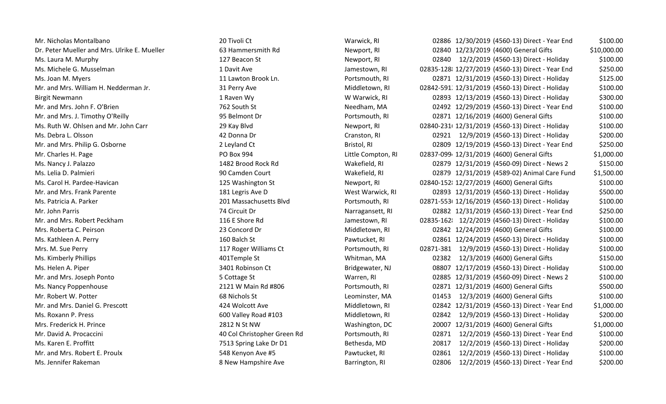| Mr. Nicholas Montalbano                      | 20 Tivoli Ct                | Warwick, RI        | 02886 12/30/2019 (4560-13) Direct - Year End<br>\$100.00      |
|----------------------------------------------|-----------------------------|--------------------|---------------------------------------------------------------|
| Dr. Peter Mueller and Mrs. Ulrike E. Mueller | 63 Hammersmith Rd           | Newport, RI        | 02840 12/23/2019 (4600) General Gifts<br>\$10,000.00          |
| Ms. Laura M. Murphy                          | 127 Beacon St               | Newport, RI        | \$100.00<br>02840<br>12/2/2019 (4560-13) Direct - Holiday     |
| Ms. Michele G. Musselman                     | 1 Davit Ave                 | Jamestown, RI      | \$250.00<br>02835-128 12/27/2019 (4560-13) Direct - Year End  |
| Ms. Joan M. Myers                            | 11 Lawton Brook Ln.         | Portsmouth, RI     | \$125.00<br>02871 12/31/2019 (4560-13) Direct - Holiday       |
| Mr. and Mrs. William H. Nedderman Jr.        | 31 Perry Ave                | Middletown, RI     | \$100.00<br>02842-591 12/31/2019 (4560-13) Direct - Holiday   |
| <b>Birgit Newmann</b>                        | 1 Raven Wy                  | W Warwick, RI      | \$300.00<br>02893 12/13/2019 (4560-13) Direct - Holiday       |
| Mr. and Mrs. John F. O'Brien                 | 762 South St                | Needham, MA        | \$100.00<br>02492 12/29/2019 (4560-13) Direct - Year End      |
| Mr. and Mrs. J. Timothy O'Reilly             | 95 Belmont Dr               | Portsmouth, RI     | \$100.00<br>02871 12/16/2019 (4600) General Gifts             |
| Ms. Ruth W. Ohlsen and Mr. John Carr         | 29 Kay Blvd                 | Newport, RI        | \$100.00<br>02840-231 12/31/2019 (4560-13) Direct - Holiday   |
| Ms. Debra L. Olsson                          | 42 Donna Dr                 | Cranston, RI       | \$200.00<br>02921 12/9/2019 (4560-13) Direct - Holiday        |
| Mr. and Mrs. Philip G. Osborne               | 2 Leyland Ct                | Bristol, RI        | \$250.00<br>02809 12/19/2019 (4560-13) Direct - Year End      |
| Mr. Charles H. Page                          | PO Box 994                  | Little Compton, RI | 02837-099 12/31/2019 (4600) General Gifts<br>\$1,000.00       |
| Ms. Nancy J. Palazzo                         | 1482 Brood Rock Rd          | Wakefield, RI      | \$150.00<br>02879 12/31/2019 (4560-09) Direct - News 2        |
| Ms. Lelia D. Palmieri                        | 90 Camden Court             | Wakefield, RI      | \$1,500.00<br>02879 12/31/2019 (4589-02) Animal Care Fund     |
| Ms. Carol H. Pardee-Havican                  | 125 Washington St           | Newport, RI        | \$100.00<br>02840-152 12/27/2019 (4600) General Gifts         |
| Mr. and Mrs. Frank Parente                   | 181 Legris Ave D            | West Warwick, RI   | \$500.00<br>02893 12/31/2019 (4560-13) Direct - Holiday       |
| Ms. Patricia A. Parker                       | 201 Massachusetts Blvd      | Portsmouth, RI     | \$100.00<br>02871-553 12/16/2019 (4560-13) Direct - Holiday   |
| Mr. John Parris                              | 74 Circuit Dr               | Narragansett, RI   | \$250.00<br>02882 12/31/2019 (4560-13) Direct - Year End      |
| Mr. and Mrs. Robert Peckham                  | 116 E Shore Rd              | Jamestown, RI      | \$100.00<br>02835-162 12/2/2019 (4560-13) Direct - Holiday    |
| Mrs. Roberta C. Peirson                      | 23 Concord Dr               | Middletown, RI     | \$100.00<br>02842 12/24/2019 (4600) General Gifts             |
| Ms. Kathleen A. Perry                        | 160 Balch St                | Pawtucket, RI      | \$100.00<br>02861 12/24/2019 (4560-13) Direct - Holiday       |
| Mrs. M. Sue Perry                            | 117 Roger Williams Ct       | Portsmouth, RI     | \$100.00<br>02871-381<br>12/9/2019 (4560-13) Direct - Holiday |
| Ms. Kimberly Phillips                        | 401Temple St                | Whitman, MA        | 12/3/2019 (4600) General Gifts<br>\$150.00<br>02382           |
| Ms. Helen A. Piper                           | 3401 Robinson Ct            | Bridgewater, NJ    | \$100.00<br>08807 12/17/2019 (4560-13) Direct - Holiday       |
| Mr. and Mrs. Joseph Ponto                    | 5 Cottage St                | Warren, RI         | 02885 12/31/2019 (4560-09) Direct - News 2<br>\$100.00        |
| Ms. Nancy Poppenhouse                        | 2121 W Main Rd #806         | Portsmouth, RI     | 02871 12/31/2019 (4600) General Gifts<br>\$500.00             |
| Mr. Robert W. Potter                         | 68 Nichols St               | Leominster, MA     | \$100.00<br>01453 12/3/2019 (4600) General Gifts              |
| Mr. and Mrs. Daniel G. Prescott              | 424 Wolcott Ave             | Middletown, RI     | \$1,000.00<br>02842 12/31/2019 (4560-13) Direct - Year End    |
| Ms. Roxann P. Press                          | 600 Valley Road #103        | Middletown, RI     | 02842<br>12/9/2019 (4560-13) Direct - Holiday<br>\$200.00     |
| Mrs. Frederick H. Prince                     | 2812 N St NW                | Washington, DC     | 20007 12/31/2019 (4600) General Gifts<br>\$1,000.00           |
| Mr. David A. Procaccini                      | 40 Col Christopher Green Rd | Portsmouth, RI     | \$100.00<br>02871<br>12/2/2019 (4560-13) Direct - Year End    |
| Ms. Karen E. Proffitt                        | 7513 Spring Lake Dr D1      | Bethesda, MD       | 12/2/2019 (4560-13) Direct - Holiday<br>\$200.00<br>20817     |
| Mr. and Mrs. Robert E. Proulx                | 548 Kenyon Ave #5           | Pawtucket, RI      | 12/2/2019 (4560-13) Direct - Holiday<br>\$100.00<br>02861     |
| Ms. Jennifer Rakeman                         | 8 New Hampshire Ave         | Barrington, RI     | \$200.00<br>02806<br>12/2/2019 (4560-13) Direct - Year End    |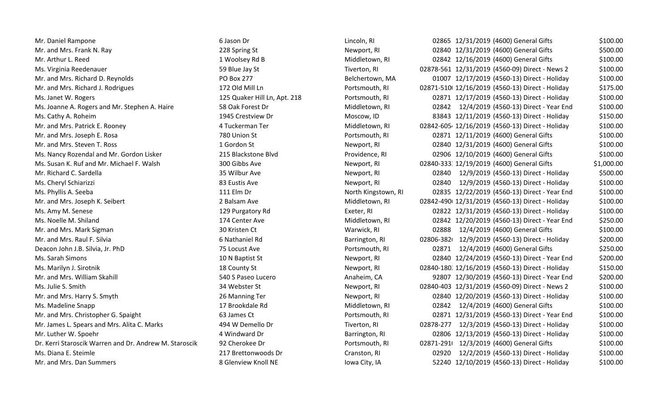| Mr. Daniel Rampone                                     | 6 Jason Dr                   | Lincoln, RI             | 02865     |
|--------------------------------------------------------|------------------------------|-------------------------|-----------|
| Mr. and Mrs. Frank N. Ray                              | 228 Spring St                | Newport, RI             | 02840     |
| Mr. Arthur L. Reed                                     | 1 Woolsey Rd B               | Middletown, RI          | 02842     |
| Ms. Virginia Reedenauer                                | 59 Blue Jay St               | Tiverton, RI            | 02878-561 |
| Mr. and Mrs. Richard D. Reynolds                       | <b>PO Box 277</b>            | Belchertown, MA         | 01007     |
| Mr. and Mrs. Richard J. Rodrigues                      | 172 Old Mill Ln              | Portsmouth, RI          | 02871-510 |
| Ms. Janet W. Rogers                                    | 125 Quaker Hill Ln, Apt. 218 | Portsmouth, RI          | 02871     |
| Ms. Joanne A. Rogers and Mr. Stephen A. Haire          | 58 Oak Forest Dr             | Middletown, RI          | 02842     |
| Ms. Cathy A. Roheim                                    | 1945 Crestview Dr            | Moscow, ID              | 83843     |
| Mr. and Mrs. Patrick E. Rooney                         | 4 Tuckerman Ter              | Middletown, RI          | 02842-605 |
| Mr. and Mrs. Joseph E. Rosa                            | 780 Union St                 | Portsmouth, RI          | 02871     |
| Mr. and Mrs. Steven T. Ross                            | 1 Gordon St                  | Newport, RI             | 02840     |
| Ms. Nancy Rozendal and Mr. Gordon Lisker               | 215 Blackstone Blvd          | Providence, RI          | 02906     |
| Ms. Susan K. Ruf and Mr. Michael F. Walsh              | 300 Gibbs Ave                | Newport, RI             | 02840-333 |
| Mr. Richard C. Sardella                                | 35 Wilbur Ave                | Newport, RI             | 02840     |
| Ms. Cheryl Schiarizzi                                  | 83 Eustis Ave                | Newport, RI             | 02840     |
| Ms. Phyllis A. Seeba                                   | 111 Elm Dr                   | North Kingstown, RI     | 02835     |
| Mr. and Mrs. Joseph K. Seibert                         | 2 Balsam Ave                 | Middletown, RI          | 02842-490 |
| Ms. Amy M. Senese                                      | 129 Purgatory Rd             | Exeter, RI              | 02822     |
| Ms. Noelle M. Shiland                                  | 174 Center Ave               | Middletown, RI          | 02842     |
| Mr. and Mrs. Mark Sigman                               | 30 Kristen Ct                | Warwick, RI             | 02888     |
| Mr. and Mrs. Raul F. Silvia                            | 6 Nathaniel Rd               | Barrington, RI          | 02806-382 |
| Deacon John J.B. Silvia, Jr. PhD                       | 75 Locust Ave                | Portsmouth, RI          | 02871     |
| Ms. Sarah Simons                                       | 10 N Baptist St              | Newport, RI             | 02840     |
| Ms. Marilyn J. Sirotnik                                | 18 County St                 | Newport, RI             | 02840-180 |
| Mr. and Mrs. William Skahill                           | 540 S Paseo Lucero           | Anaheim, CA             | 92807     |
| Ms. Julie S. Smith                                     | 34 Webster St                | Newport, RI             | 02840-403 |
| Mr. and Mrs. Harry S. Smyth                            | 26 Manning Ter               | Newport, RI             | 02840     |
| Ms. Madeline Snapp                                     | 17 Brookdale Rd              | Middletown, RI          | 02842     |
| Mr. and Mrs. Christopher G. Spaight                    | 63 James Ct                  | Portsmouth, RI          | 02871     |
| Mr. James L. Spears and Mrs. Alita C. Marks            | 494 W Demello Dr             | Tiverton, RI            | 02878-277 |
| Mr. Luther W. Spoehr                                   | 4 Windward Dr                | Barrington, RI          | 02806     |
| Dr. Kerri Staroscik Warren and Dr. Andrew M. Staroscik | 92 Cherokee Dr               | Portsmouth, RI          | 02871-291 |
| Ms. Diana E. Steimle                                   | 217 Brettonwoods Dr          | Cranston, RI            | 02920     |
| Mr and Mrs Dan Summors                                 | 8 Glanviaw Knoll NF          | $I_{M12}$ City $I_{M1}$ | 52240     |

| Lincoln, RI               |
|---------------------------|
| Newport, RI               |
| Middletown, RI            |
| Tiverton, RI              |
| Belchertown, MA           |
| Portsmouth, RI            |
| Portsmouth, RI            |
| Middletown, RI            |
| Moscow, ID                |
| Middletown, RI            |
| Portsmouth, RI            |
| Newport, RI               |
| Providence, RI            |
| Newport, RI               |
| Newport, RI               |
| Newport, RI               |
| North Kingstown,          |
| Middletown, RI            |
| Exeter, RI                |
| Middletown, RI            |
| Warwick, RI               |
| Barrington, RI            |
| Portsmouth, RI            |
| Newport, RI               |
| Newport, RI               |
| Anaheim, CA               |
| Newport, RI               |
| Newport, RI               |
| Middletown, RI            |
| Portsmouth, RI            |
| Tiverton, RI              |
| Barrington, RI            |
| Portsmouth, RI            |
| Cranston, RI              |
| المناب<br>$\cdots$ $\sim$ |

| Mr. Daniel Rampone                                     | 6 Jason Dr                   | Lincoln, RI         |           | 02865 12/31/2019 (4600) General Gifts           | \$100.00   |
|--------------------------------------------------------|------------------------------|---------------------|-----------|-------------------------------------------------|------------|
| Mr. and Mrs. Frank N. Ray                              | 228 Spring St                | Newport, RI         |           | 02840 12/31/2019 (4600) General Gifts           | \$500.00   |
| Mr. Arthur L. Reed                                     | 1 Woolsey Rd B               | Middletown, RI      |           | 02842 12/16/2019 (4600) General Gifts           | \$100.00   |
| Ms. Virginia Reedenauer                                | 59 Blue Jay St               | Tiverton, RI        |           | 02878-561 12/31/2019 (4560-09) Direct - News 2  | \$100.00   |
| Mr. and Mrs. Richard D. Reynolds                       | PO Box 277                   | Belchertown, MA     |           | 01007 12/17/2019 (4560-13) Direct - Holiday     | \$100.00   |
| Mr. and Mrs. Richard J. Rodrigues                      | 172 Old Mill Ln              | Portsmouth, RI      |           | 02871-510 12/16/2019 (4560-13) Direct - Holiday | \$175.00   |
| Ms. Janet W. Rogers                                    | 125 Quaker Hill Ln, Apt. 218 | Portsmouth, RI      |           | 02871 12/17/2019 (4560-13) Direct - Holiday     | \$100.00   |
| Ms. Joanne A. Rogers and Mr. Stephen A. Haire          | 58 Oak Forest Dr             | Middletown, RI      |           | 02842 12/4/2019 (4560-13) Direct - Year End     | \$100.00   |
| Ms. Cathy A. Roheim                                    | 1945 Crestview Dr            | Moscow, ID          |           | 83843 12/11/2019 (4560-13) Direct - Holiday     | \$150.00   |
| Mr. and Mrs. Patrick E. Rooney                         | 4 Tuckerman Ter              | Middletown, RI      |           | 02842-605 12/16/2019 (4560-13) Direct - Holiday | \$100.00   |
| Mr. and Mrs. Joseph E. Rosa                            | 780 Union St                 | Portsmouth, RI      |           | 02871 12/11/2019 (4600) General Gifts           | \$100.00   |
| Mr. and Mrs. Steven T. Ross                            | 1 Gordon St                  | Newport, RI         |           | 02840 12/31/2019 (4600) General Gifts           | \$100.00   |
| Ms. Nancy Rozendal and Mr. Gordon Lisker               | 215 Blackstone Blvd          | Providence, RI      |           | 02906 12/10/2019 (4600) General Gifts           | \$100.00   |
| Ms. Susan K. Ruf and Mr. Michael F. Walsh              | 300 Gibbs Ave                | Newport, RI         |           | 02840-333 12/19/2019 (4600) General Gifts       | \$1,000.00 |
| Mr. Richard C. Sardella                                | 35 Wilbur Ave                | Newport, RI         |           | 02840 12/9/2019 (4560-13) Direct - Holiday      | \$500.00   |
| Ms. Cheryl Schiarizzi                                  | 83 Eustis Ave                | Newport, RI         | 02840     | 12/9/2019 (4560-13) Direct - Holiday            | \$100.00   |
| Ms. Phyllis A. Seeba                                   | 111 Elm Dr                   | North Kingstown, RI |           | 02835 12/22/2019 (4560-13) Direct - Year End    | \$100.00   |
| Mr. and Mrs. Joseph K. Seibert                         | 2 Balsam Ave                 | Middletown, RI      |           | 02842-490 12/31/2019 (4560-13) Direct - Holiday | \$100.00   |
| Ms. Amy M. Senese                                      | 129 Purgatory Rd             | Exeter, RI          |           | 02822 12/31/2019 (4560-13) Direct - Holiday     | \$100.00   |
| Ms. Noelle M. Shiland                                  | 174 Center Ave               | Middletown, RI      |           | 02842 12/20/2019 (4560-13) Direct - Year End    | \$250.00   |
| Mr. and Mrs. Mark Sigman                               | 30 Kristen Ct                | Warwick, RI         | 02888     | 12/4/2019 (4600) General Gifts                  | \$100.00   |
| Mr. and Mrs. Raul F. Silvia                            | 6 Nathaniel Rd               | Barrington, RI      | 02806-382 | 12/9/2019 (4560-13) Direct - Holiday            | \$200.00   |
| Deacon John J.B. Silvia, Jr. PhD                       | 75 Locust Ave                | Portsmouth, RI      | 02871     | 12/4/2019 (4600) General Gifts                  | \$250.00   |
| Ms. Sarah Simons                                       | 10 N Baptist St              | Newport, RI         |           | 02840 12/24/2019 (4560-13) Direct - Year End    | \$200.00   |
| Ms. Marilyn J. Sirotnik                                | 18 County St                 | Newport, RI         |           | 02840-180 12/16/2019 (4560-13) Direct - Holiday | \$150.00   |
| Mr. and Mrs. William Skahill                           | 540 S Paseo Lucero           | Anaheim, CA         |           | 92807 12/30/2019 (4560-13) Direct - Year End    | \$200.00   |
| Ms. Julie S. Smith                                     | 34 Webster St                | Newport, RI         |           | 02840-403 12/31/2019 (4560-09) Direct - News 2  | \$100.00   |
| Mr. and Mrs. Harry S. Smyth                            | 26 Manning Ter               | Newport, RI         |           | 02840 12/20/2019 (4560-13) Direct - Holiday     | \$100.00   |
| Ms. Madeline Snapp                                     | 17 Brookdale Rd              | Middletown, RI      | 02842     | 12/4/2019 (4600) General Gifts                  | \$100.00   |
| Mr. and Mrs. Christopher G. Spaight                    | 63 James Ct                  | Portsmouth, RI      |           | 02871 12/31/2019 (4560-13) Direct - Year End    | \$100.00   |
| Mr. James L. Spears and Mrs. Alita C. Marks            | 494 W Demello Dr             | Tiverton, RI        |           | 02878-277 12/3/2019 (4560-13) Direct - Holiday  | \$100.00   |
| Mr. Luther W. Spoehr                                   | 4 Windward Dr                | Barrington, RI      |           | 02806 12/13/2019 (4560-13) Direct - Holiday     | \$100.00   |
| Dr. Kerri Staroscik Warren and Dr. Andrew M. Staroscik | 92 Cherokee Dr               | Portsmouth, RI      |           | 02871-291 12/3/2019 (4600) General Gifts        | \$100.00   |
| Ms. Diana E. Steimle                                   | 217 Brettonwoods Dr          | Cranston, RI        |           | 02920 12/2/2019 (4560-13) Direct - Holiday      | \$100.00   |
| Mr. and Mrs. Dan Summers                               | 8 Glenview Knoll NE          | Iowa City, IA       |           | 52240 12/10/2019 (4560-13) Direct - Holiday     | \$100.00   |